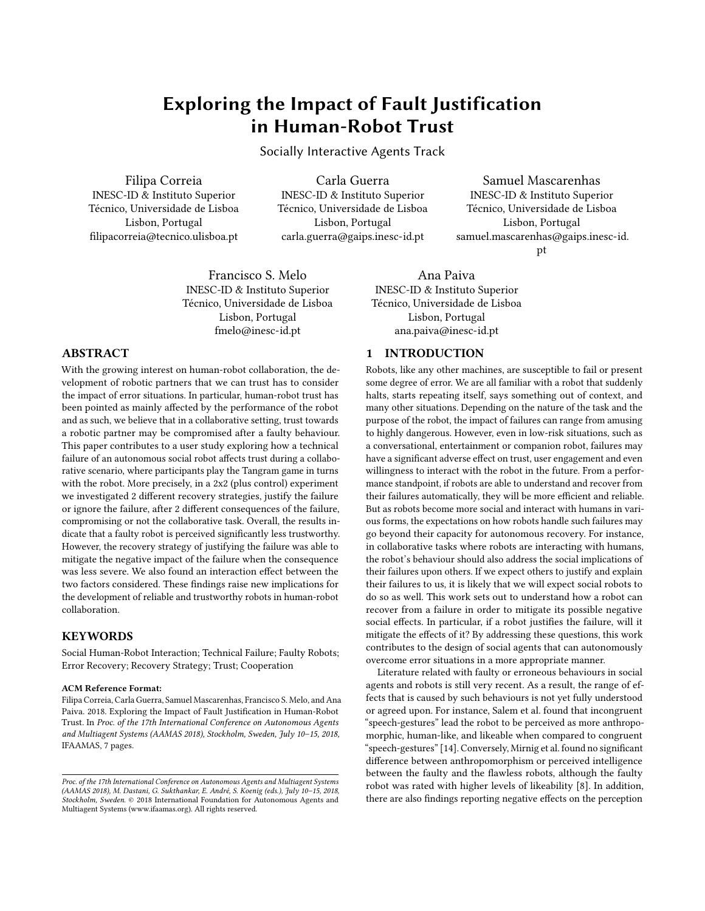# Exploring the Impact of Fault Justification in Human-Robot Trust

Socially Interactive Agents Track

Filipa Correia INESC-ID & Instituto Superior Técnico, Universidade de Lisboa Lisbon, Portugal filipacorreia@tecnico.ulisboa.pt

Carla Guerra INESC-ID & Instituto Superior Técnico, Universidade de Lisboa Lisbon, Portugal carla.guerra@gaips.inesc-id.pt

Francisco S. Melo INESC-ID & Instituto Superior Técnico, Universidade de Lisboa Lisbon, Portugal fmelo@inesc-id.pt

Ana Paiva INESC-ID & Instituto Superior Técnico, Universidade de Lisboa Lisbon, Portugal ana.paiva@inesc-id.pt

# ABSTRACT

With the growing interest on human-robot collaboration, the development of robotic partners that we can trust has to consider the impact of error situations. In particular, human-robot trust has been pointed as mainly affected by the performance of the robot and as such, we believe that in a collaborative setting, trust towards a robotic partner may be compromised after a faulty behaviour. This paper contributes to a user study exploring how a technical failure of an autonomous social robot affects trust during a collaborative scenario, where participants play the Tangram game in turns with the robot. More precisely, in a 2x2 (plus control) experiment we investigated 2 different recovery strategies, justify the failure or ignore the failure, after 2 different consequences of the failure, compromising or not the collaborative task. Overall, the results indicate that a faulty robot is perceived significantly less trustworthy. However, the recovery strategy of justifying the failure was able to mitigate the negative impact of the failure when the consequence was less severe. We also found an interaction effect between the two factors considered. These findings raise new implications for the development of reliable and trustworthy robots in human-robot collaboration.

# **KEYWORDS**

Social Human-Robot Interaction; Technical Failure; Faulty Robots; Error Recovery; Recovery Strategy; Trust; Cooperation

#### ACM Reference Format:

Filipa Correia, Carla Guerra, Samuel Mascarenhas, Francisco S. Melo, and Ana Paiva. 2018. Exploring the Impact of Fault Justification in Human-Robot Trust. In *Proc. of the 17th International Conference on Autonomous Agents and Multiagent Systems (AAMAS 2018), Stockholm, Sweden, July 10–15, 2018,* IFAAMAS, [7](#page-6-0) pages.

# 1 INTRODUCTION

Robots, like any other machines, are susceptible to fail or present some degree of error. We are all familiar with a robot that suddenly halts, starts repeating itself, says something out of context, and many other situations. Depending on the nature of the task and the purpose of the robot, the impact of failures can range from amusing to highly dangerous. However, even in low-risk situations, such as a conversational, entertainment or companion robot, failures may have a significant adverse effect on trust, user engagement and even willingness to interact with the robot in the future. From a performance standpoint, if robots are able to understand and recover from their failures automatically, they will be more efficient and reliable. But as robots become more social and interact with humans in various forms, the expectations on how robots handle such failures may go beyond their capacity for autonomous recovery. For instance, in collaborative tasks where robots are interacting with humans, the robot's behaviour should also address the social implications of their failures upon others. If we expect others to justify and explain their failures to us, it is likely that we will expect social robots to do so as well. This work sets out to understand how a robot can recover from a failure in order to mitigate its possible negative social effects. In particular, if a robot justifies the failure, will it mitigate the effects of it? By addressing these questions, this work contributes to the design of social agents that can autonomously overcome error situations in a more appropriate manner.

Samuel Mascarenhas INESC-ID & Instituto Superior Técnico, Universidade de Lisboa Lisbon, Portugal samuel.mascarenhas@gaips.inesc-id. pt

Literature related with faulty or erroneous behaviours in social agents and robots is still very recent. As a result, the range of effects that is caused by such behaviours is not yet fully understood or agreed upon. For instance, Salem et al. found that incongruent "speech-gestures" lead the robot to be perceived as more anthropomorphic, human-like, and likeable when compared to congruent "speech-gestures" [\[14\]](#page-6-1). Conversely, Mirnig et al. found no significant difference between anthropomorphism or perceived intelligence between the faulty and the flawless robots, although the faulty robot was rated with higher levels of likeability [\[8\]](#page-6-2). In addition, there are also findings reporting negative effects on the perception

*Proc. of the 17th International Conference on Autonomous Agents and Multiagent Systems (AAMAS 2018), M. Dastani, G. Sukthankar, E. André, S. Koenig (eds.), July 10–15, 2018, Stockholm, Sweden*. © 2018 International Foundation for Autonomous Agents and Multiagent Systems (www.ifaamas.org). All rights reserved.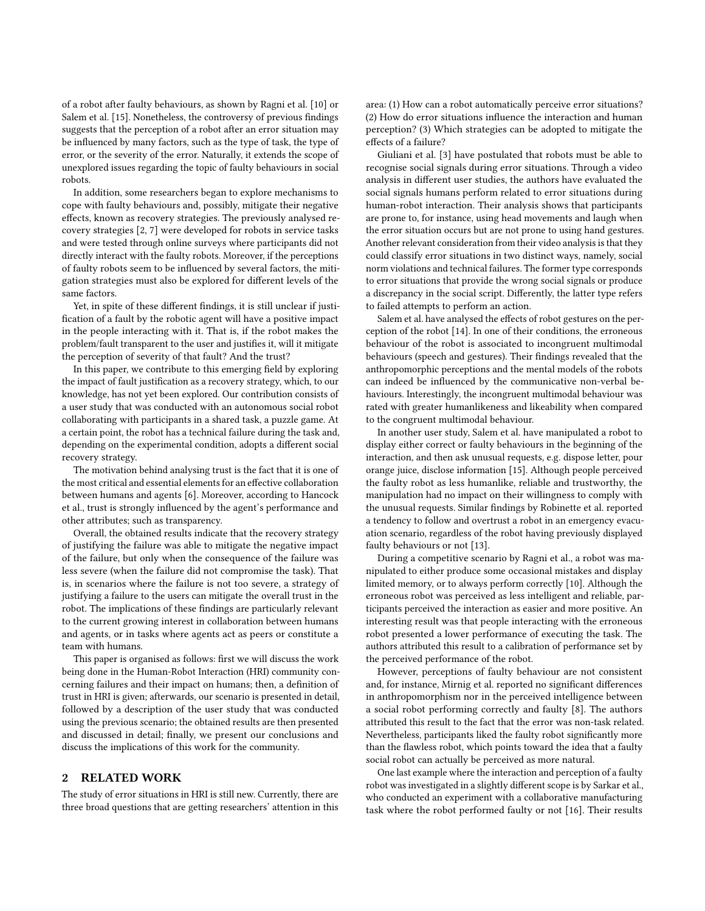of a robot after faulty behaviours, as shown by Ragni et al. [\[10\]](#page-6-3) or Salem et al. [\[15\]](#page-6-4). Nonetheless, the controversy of previous findings suggests that the perception of a robot after an error situation may be influenced by many factors, such as the type of task, the type of error, or the severity of the error. Naturally, it extends the scope of unexplored issues regarding the topic of faulty behaviours in social robots.

In addition, some researchers began to explore mechanisms to cope with faulty behaviours and, possibly, mitigate their negative effects, known as recovery strategies. The previously analysed recovery strategies [\[2,](#page-6-5) [7\]](#page-6-6) were developed for robots in service tasks and were tested through online surveys where participants did not directly interact with the faulty robots. Moreover, if the perceptions of faulty robots seem to be influenced by several factors, the mitigation strategies must also be explored for different levels of the same factors.

Yet, in spite of these different findings, it is still unclear if justification of a fault by the robotic agent will have a positive impact in the people interacting with it. That is, if the robot makes the problem/fault transparent to the user and justifies it, will it mitigate the perception of severity of that fault? And the trust?

In this paper, we contribute to this emerging field by exploring the impact of fault justification as a recovery strategy, which, to our knowledge, has not yet been explored. Our contribution consists of a user study that was conducted with an autonomous social robot collaborating with participants in a shared task, a puzzle game. At a certain point, the robot has a technical failure during the task and, depending on the experimental condition, adopts a different social recovery strategy.

The motivation behind analysing trust is the fact that it is one of the most critical and essential elements for an effective collaboration between humans and agents [\[6\]](#page-6-7). Moreover, according to Hancock et al., trust is strongly influenced by the agent's performance and other attributes; such as transparency.

Overall, the obtained results indicate that the recovery strategy of justifying the failure was able to mitigate the negative impact of the failure, but only when the consequence of the failure was less severe (when the failure did not compromise the task). That is, in scenarios where the failure is not too severe, a strategy of justifying a failure to the users can mitigate the overall trust in the robot. The implications of these findings are particularly relevant to the current growing interest in collaboration between humans and agents, or in tasks where agents act as peers or constitute a team with humans.

This paper is organised as follows: first we will discuss the work being done in the Human-Robot Interaction (HRI) community concerning failures and their impact on humans; then, a definition of trust in HRI is given; afterwards, our scenario is presented in detail, followed by a description of the user study that was conducted using the previous scenario; the obtained results are then presented and discussed in detail; finally, we present our conclusions and discuss the implications of this work for the community.

# 2 RELATED WORK

The study of error situations in HRI is still new. Currently, there are three broad questions that are getting researchers' attention in this

area: (1) How can a robot automatically perceive error situations? (2) How do error situations influence the interaction and human perception? (3) Which strategies can be adopted to mitigate the effects of a failure?

Giuliani et al. [\[3\]](#page-6-8) have postulated that robots must be able to recognise social signals during error situations. Through a video analysis in different user studies, the authors have evaluated the social signals humans perform related to error situations during human-robot interaction. Their analysis shows that participants are prone to, for instance, using head movements and laugh when the error situation occurs but are not prone to using hand gestures. Another relevant consideration from their video analysis is that they could classify error situations in two distinct ways, namely, social norm violations and technical failures. The former type corresponds to error situations that provide the wrong social signals or produce a discrepancy in the social script. Differently, the latter type refers to failed attempts to perform an action.

Salem et al. have analysed the effects of robot gestures on the perception of the robot [\[14\]](#page-6-1). In one of their conditions, the erroneous behaviour of the robot is associated to incongruent multimodal behaviours (speech and gestures). Their findings revealed that the anthropomorphic perceptions and the mental models of the robots can indeed be influenced by the communicative non-verbal behaviours. Interestingly, the incongruent multimodal behaviour was rated with greater humanlikeness and likeability when compared to the congruent multimodal behaviour.

In another user study, Salem et al. have manipulated a robot to display either correct or faulty behaviours in the beginning of the interaction, and then ask unusual requests, e.g. dispose letter, pour orange juice, disclose information [\[15\]](#page-6-4). Although people perceived the faulty robot as less humanlike, reliable and trustworthy, the manipulation had no impact on their willingness to comply with the unusual requests. Similar findings by Robinette et al. reported a tendency to follow and overtrust a robot in an emergency evacuation scenario, regardless of the robot having previously displayed faulty behaviours or not [\[13\]](#page-6-9).

During a competitive scenario by Ragni et al., a robot was manipulated to either produce some occasional mistakes and display limited memory, or to always perform correctly [\[10\]](#page-6-3). Although the erroneous robot was perceived as less intelligent and reliable, participants perceived the interaction as easier and more positive. An interesting result was that people interacting with the erroneous robot presented a lower performance of executing the task. The authors attributed this result to a calibration of performance set by the perceived performance of the robot.

However, perceptions of faulty behaviour are not consistent and, for instance, Mirnig et al. reported no significant differences in anthropomorphism nor in the perceived intelligence between a social robot performing correctly and faulty [\[8\]](#page-6-2). The authors attributed this result to the fact that the error was non-task related. Nevertheless, participants liked the faulty robot significantly more than the flawless robot, which points toward the idea that a faulty social robot can actually be perceived as more natural.

One last example where the interaction and perception of a faulty robot was investigated in a slightly different scope is by Sarkar et al., who conducted an experiment with a collaborative manufacturing task where the robot performed faulty or not [\[16\]](#page-6-10). Their results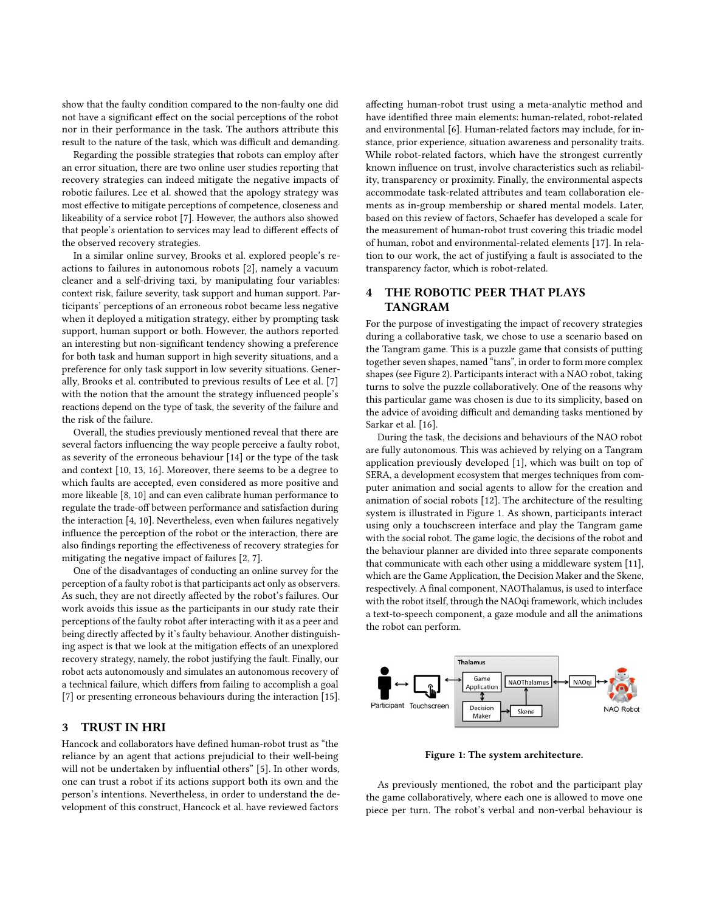show that the faulty condition compared to the non-faulty one did not have a significant effect on the social perceptions of the robot nor in their performance in the task. The authors attribute this result to the nature of the task, which was difficult and demanding.

Regarding the possible strategies that robots can employ after an error situation, there are two online user studies reporting that recovery strategies can indeed mitigate the negative impacts of robotic failures. Lee et al. showed that the apology strategy was most effective to mitigate perceptions of competence, closeness and likeability of a service robot [\[7\]](#page-6-6). However, the authors also showed that people's orientation to services may lead to different effects of the observed recovery strategies.

In a similar online survey, Brooks et al. explored people's reactions to failures in autonomous robots [\[2\]](#page-6-5), namely a vacuum cleaner and a self-driving taxi, by manipulating four variables: context risk, failure severity, task support and human support. Participants' perceptions of an erroneous robot became less negative when it deployed a mitigation strategy, either by prompting task support, human support or both. However, the authors reported an interesting but non-significant tendency showing a preference for both task and human support in high severity situations, and a preference for only task support in low severity situations. Generally, Brooks et al. contributed to previous results of Lee et al. [\[7\]](#page-6-6) with the notion that the amount the strategy influenced people's reactions depend on the type of task, the severity of the failure and the risk of the failure.

Overall, the studies previously mentioned reveal that there are several factors influencing the way people perceive a faulty robot, as severity of the erroneous behaviour [\[14\]](#page-6-1) or the type of the task and context [\[10,](#page-6-3) [13,](#page-6-9) [16\]](#page-6-10). Moreover, there seems to be a degree to which faults are accepted, even considered as more positive and more likeable [\[8,](#page-6-2) [10\]](#page-6-3) and can even calibrate human performance to regulate the trade-off between performance and satisfaction during the interaction [\[4,](#page-6-11) [10\]](#page-6-3). Nevertheless, even when failures negatively influence the perception of the robot or the interaction, there are also findings reporting the effectiveness of recovery strategies for mitigating the negative impact of failures [\[2,](#page-6-5) [7\]](#page-6-6).

One of the disadvantages of conducting an online survey for the perception of a faulty robot is that participants act only as observers. As such, they are not directly affected by the robot's failures. Our work avoids this issue as the participants in our study rate their perceptions of the faulty robot after interacting with it as a peer and being directly affected by it's faulty behaviour. Another distinguishing aspect is that we look at the mitigation effects of an unexplored recovery strategy, namely, the robot justifying the fault. Finally, our robot acts autonomously and simulates an autonomous recovery of a technical failure, which differs from failing to accomplish a goal [\[7\]](#page-6-6) or presenting erroneous behaviours during the interaction [\[15\]](#page-6-4).

# 3 TRUST IN HRI

Hancock and collaborators have defined human-robot trust as "the reliance by an agent that actions prejudicial to their well-being will not be undertaken by influential others" [\[5\]](#page-6-12). In other words, one can trust a robot if its actions support both its own and the person's intentions. Nevertheless, in order to understand the development of this construct, Hancock et al. have reviewed factors

affecting human-robot trust using a meta-analytic method and have identified three main elements: human-related, robot-related and environmental [\[6\]](#page-6-7). Human-related factors may include, for instance, prior experience, situation awareness and personality traits. While robot-related factors, which have the strongest currently known influence on trust, involve characteristics such as reliability, transparency or proximity. Finally, the environmental aspects accommodate task-related attributes and team collaboration elements as in-group membership or shared mental models. Later, based on this review of factors, Schaefer has developed a scale for the measurement of human-robot trust covering this triadic model of human, robot and environmental-related elements [\[17\]](#page-6-13). In relation to our work, the act of justifying a fault is associated to the transparency factor, which is robot-related.

# 4 THE ROBOTIC PEER THAT PLAYS TANGRAM

For the purpose of investigating the impact of recovery strategies during a collaborative task, we chose to use a scenario based on the Tangram game. This is a puzzle game that consists of putting together seven shapes, named "tans", in order to form more complex shapes (see Figure [2\)](#page-3-0). Participants interact with a NAO robot, taking turns to solve the puzzle collaboratively. One of the reasons why this particular game was chosen is due to its simplicity, based on the advice of avoiding difficult and demanding tasks mentioned by Sarkar et al. [\[16\]](#page-6-10).

During the task, the decisions and behaviours of the NAO robot are fully autonomous. This was achieved by relying on a Tangram application previously developed [\[1\]](#page-6-14), which was built on top of SERA, a development ecosystem that merges techniques from computer animation and social agents to allow for the creation and animation of social robots [\[12\]](#page-6-15). The architecture of the resulting system is illustrated in Figure [1.](#page-2-0) As shown, participants interact using only a touchscreen interface and play the Tangram game with the social robot. The game logic, the decisions of the robot and the behaviour planner are divided into three separate components that communicate with each other using a middleware system [\[11\]](#page-6-16), which are the Game Application, the Decision Maker and the Skene, respectively. A final component, NAOThalamus, is used to interface with the robot itself, through the NAOqi framework, which includes a text-to-speech component, a gaze module and all the animations the robot can perform.

<span id="page-2-0"></span>

Figure 1: The system architecture.

As previously mentioned, the robot and the participant play the game collaboratively, where each one is allowed to move one piece per turn. The robot's verbal and non-verbal behaviour is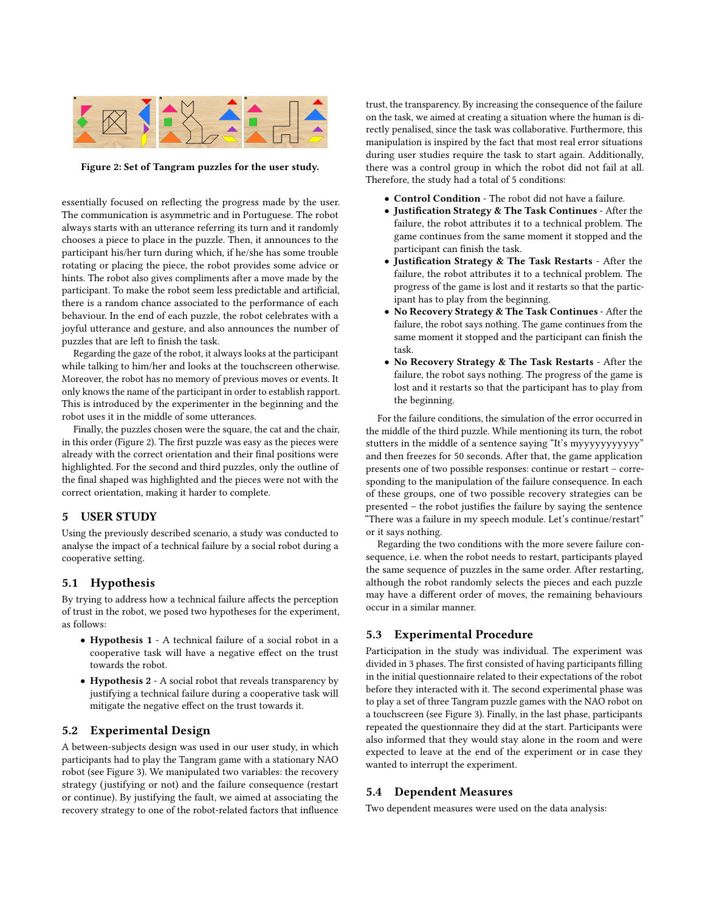<span id="page-3-0"></span>

Figure 2: Set of Tangram puzzles for the user study.

essentially focused on reflecting the progress made by the user. The communication is asymmetric and in Portuguese. The robot always starts with an utterance referring its turn and it randomly chooses a piece to place in the puzzle. Then, it announces to the participant his/her turn during which, if he/she has some trouble rotating or placing the piece, the robot provides some advice or hints. The robot also gives compliments after a move made by the participant. To make the robot seem less predictable and artificial, there is a random chance associated to the performance of each behaviour. In the end of each puzzle, the robot celebrates with a joyful utterance and gesture, and also announces the number of puzzles that are left to finish the task.

Regarding the gaze of the robot, it always looks at the participant while talking to him/her and looks at the touchscreen otherwise. Moreover, the robot has no memory of previous moves or events. It only knows the name of the participant in order to establish rapport. This is introduced by the experimenter in the beginning and the robot uses it in the middle of some utterances.

Finally, the puzzles chosen were the square, the cat and the chair, in this order (Figure [2\)](#page-3-0). The first puzzle was easy as the pieces were already with the correct orientation and their final positions were highlighted. For the second and third puzzles, only the outline of the final shaped was highlighted and the pieces were not with the correct orientation, making it harder to complete.

#### 5 USER STUDY

Using the previously described scenario, a study was conducted to analyse the impact of a technical failure by a social robot during a cooperative setting.

#### 5.1 Hypothesis

By trying to address how a technical failure affects the perception of trust in the robot, we posed two hypotheses for the experiment, as follows:

- Hypothesis 1 A technical failure of a social robot in a cooperative task will have a negative effect on the trust towards the robot.
- Hypothesis 2 A social robot that reveals transparency by justifying a technical failure during a cooperative task will mitigate the negative effect on the trust towards it.

#### 5.2 Experimental Design

A between-subjects design was used in our user study, in which participants had to play the Tangram game with a stationary NAO robot (see Figure [3\)](#page-4-0). We manipulated two variables: the recovery strategy (justifying or not) and the failure consequence (restart or continue). By justifying the fault, we aimed at associating the recovery strategy to one of the robot-related factors that influence trust, the transparency. By increasing the consequence of the failure on the task, we aimed at creating a situation where the human is directly penalised, since the task was collaborative. Furthermore, this manipulation is inspired by the fact that most real error situations during user studies require the task to start again. Additionally, there was a control group in which the robot did not fail at all. Therefore, the study had a total of 5 conditions:

- Control Condition The robot did not have a failure.
- Justification Strategy & The Task Continues After the failure, the robot attributes it to a technical problem. The game continues from the same moment it stopped and the participant can finish the task.
- Justification Strategy  $&$  The Task Restarts After the failure, the robot attributes it to a technical problem. The progress of the game is lost and it restarts so that the participant has to play from the beginning.
- No Recovery Strategy & The Task Continues After the failure, the robot says nothing. The game continues from the same moment it stopped and the participant can finish the task.
- No Recovery Strategy & The Task Restarts After the failure, the robot says nothing. The progress of the game is lost and it restarts so that the participant has to play from the beginning.

For the failure conditions, the simulation of the error occurred in the middle of the third puzzle. While mentioning its turn, the robot stutters in the middle of a sentence saying "It's myyyyyyyyyyy" and then freezes for 50 seconds. After that, the game application presents one of two possible responses: continue or restart – corresponding to the manipulation of the failure consequence. In each of these groups, one of two possible recovery strategies can be presented - the robot justifies the failure by saying the sentence "There was a failure in my speech module. Let's continue/restart" or it says nothing.

Regarding the two conditions with the more severe failure consequence, i.e. when the robot needs to restart, participants played the same sequence of puzzles in the same order. After restarting, although the robot randomly selects the pieces and each puzzle may have a different order of moves, the remaining behaviours occur in a similar manner.

# 5.3 Experimental Procedure

Participation in the study was individual. The experiment was divided in 3 phases. The first consisted of having participants filling in the initial questionnaire related to their expectations of the robot before they interacted with it. The second experimental phase was to play a set of three Tangram puzzle games with the NAO robot on a touchscreen (see Figure [3\)](#page-4-0). Finally, in the last phase, participants repeated the questionnaire they did at the start. Participants were also informed that they would stay alone in the room and were expected to leave at the end of the experiment or in case they wanted to interrupt the experiment.

#### 5.4 Dependent Measures

Two dependent measures were used on the data analysis: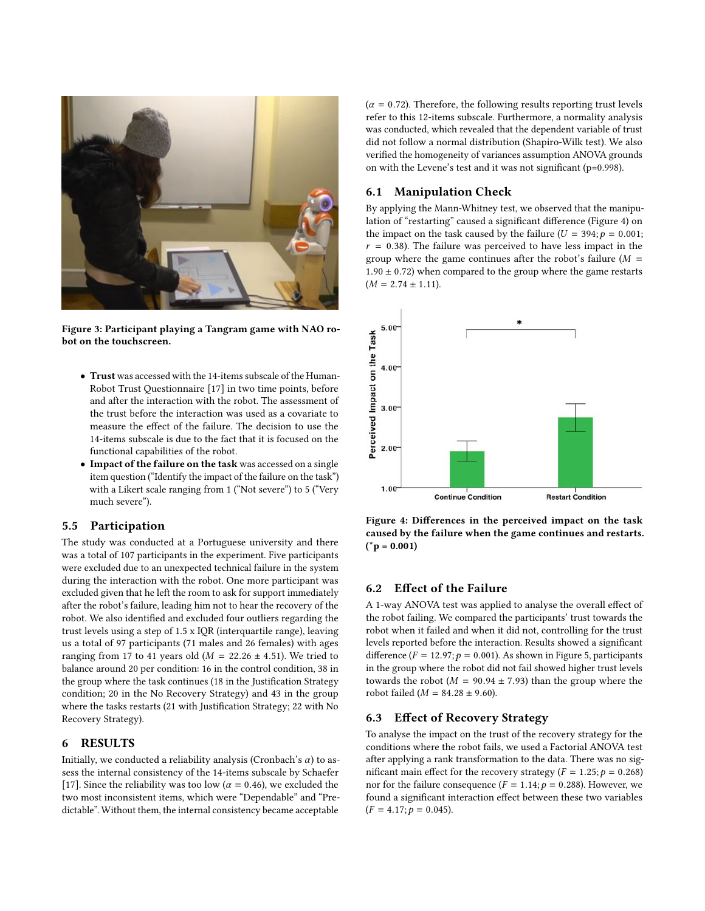<span id="page-4-0"></span>

Figure 3: Participant playing a Tangram game with NAO robot on the touchscreen.

- Trust was accessed with the 14-items subscale of the Human-Robot Trust Questionnaire [\[17\]](#page-6-13) in two time points, before and after the interaction with the robot. The assessment of the trust before the interaction was used as a covariate to measure the effect of the failure. The decision to use the 14-items subscale is due to the fact that it is focused on the functional capabilities of the robot.
- Impact of the failure on the task was accessed on a single item question ("Identify the impact of the failure on the task") with a Likert scale ranging from 1 ("Not severe") to 5 ("Very much severe").

#### 5.5 Participation

The study was conducted at a Portuguese university and there was a total of 107 participants in the experiment. Five participants were excluded due to an unexpected technical failure in the system during the interaction with the robot. One more participant was excluded given that he left the room to ask for support immediately after the robot's failure, leading him not to hear the recovery of the robot. We also identified and excluded four outliers regarding the trust levels using a step of 1.5 x IQR (interquartile range), leaving us a total of 97 participants (71 males and 26 females) with ages ranging from 17 to 41 years old ( $M = 22.26 \pm 4.51$ ). We tried to balance around 20 per condition: 16 in the control condition, 38 in the group where the task continues (18 in the Justification Strategy condition; 20 in the No Recovery Strategy) and 43 in the group where the tasks restarts (21 with Justification Strategy; 22 with No Recovery Strategy).

## 6 RESULTS

Initially, we conducted a reliability analysis (Cronbach's  $\alpha$ ) to assess the internal consistency of the 14-items subscale by Schaefer [\[17\]](#page-6-13). Since the reliability was too low ( $\alpha = 0.46$ ), we excluded the two most inconsistent items, which were "Dependable" and "Predictable". Without them, the internal consistency became acceptable

 $(\alpha = 0.72)$ . Therefore, the following results reporting trust levels refer to this 12-items subscale. Furthermore, a normality analysis was conducted, which revealed that the dependent variable of trust did not follow a normal distribution (Shapiro-Wilk test). We also verified the homogeneity of variances assumption ANOVA grounds on with the Levene's test and it was not significant ( $p=0.998$ ).

## 6.1 Manipulation Check

By applying the Mann-Whitney test, we observed that the manipu-lation of "restarting" caused a significant difference (Figure [4\)](#page-4-1) on the impact on the task caused by the failure ( $U = 394$ ;  $p = 0.001$ ;  $r = 0.38$ ). The failure was perceived to have less impact in the group where the game continues after the robot's failure (*M* =  $1.90 \pm 0.72$ ) when compared to the group where the game restarts  $(M = 2.74 \pm 1.11).$ 

<span id="page-4-1"></span>

Figure 4: Differences in the perceived impact on the task caused by the failure when the game continues and restarts.  $(*p = 0.001)$ 

# 6.2 Effect of the Failure

A 1-way ANOVA test was applied to analyse the overall effect of the robot failing. We compared the participants' trust towards the robot when it failed and when it did not, controlling for the trust levels reported before the interaction. Results showed a significant difference  $(F = 12.97; p = 0.001)$ . As shown in Figure [5,](#page-5-0) participants in the group where the robot did not fail showed higher trust levels towards the robot ( $M = 90.94 \pm 7.93$ ) than the group where the robot failed ( $M = 84.28 \pm 9.60$ ).

# 6.3 Effect of Recovery Strategy

To analyse the impact on the trust of the recovery strategy for the conditions where the robot fails, we used a Factorial ANOVA test after applying a rank transformation to the data. There was no significant main effect for the recovery strategy ( $F = 1.25$ ;  $p = 0.268$ ) nor for the failure consequence ( $F = 1.14$ ;  $p = 0.288$ ). However, we found a significant interaction effect between these two variables  $(F = 4.17; p = 0.045)$ .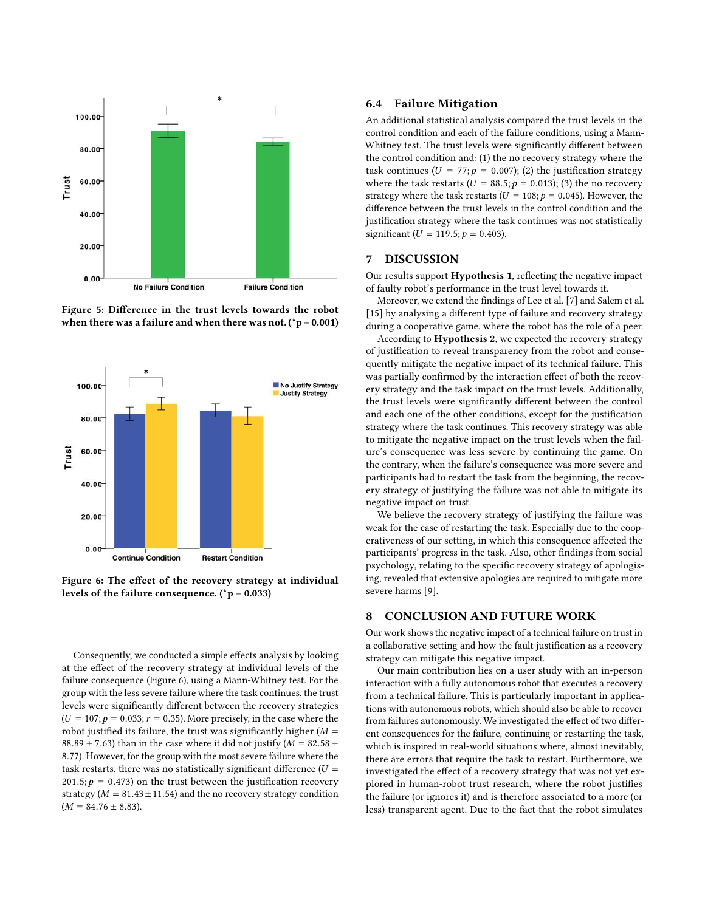<span id="page-5-0"></span>

Figure 5: Difference in the trust levels towards the robot when there was a failure and when there was not.  $({}_{p=0.001}^{*})$ 

<span id="page-5-1"></span>

Figure 6: The effect of the recovery strategy at individual levels of the failure consequence. (\*p =  $0.033$ )

Consequently, we conducted a simple effects analysis by looking at the effect of the recovery strategy at individual levels of the failure consequence (Figure [6\)](#page-5-1), using a Mann-Whitney test. For the group with the less severe failure where the task continues, the trust levels were significantly different between the recovery strategies  $(U = 107; p = 0.033; r = 0.35)$ . More precisely, in the case where the robot justified its failure, the trust was significantly higher  $(M =$ 88.89  $\pm$  7.63) than in the case where it did not justify ( $M = 82.58 \pm$ 8.77). However, for the group with the most severe failure where the task restarts, there was no statistically significant difference  $(U =$  $201.5; p = 0.473$  on the trust between the justification recovery strategy ( $M = 81.43 \pm 11.54$ ) and the no recovery strategy condition  $(M = 84.76 \pm 8.83)$ .

#### 6.4 Failure Mitigation

An additional statistical analysis compared the trust levels in the control condition and each of the failure conditions, using a Mann-Whitney test. The trust levels were significantly different between the control condition and: (1) the no recovery strategy where the task continues ( $U = 77$ ;  $p = 0.007$ ); (2) the justification strategy where the task restarts ( $U = 88.5$ ;  $p = 0.013$ ); (3) the no recovery strategy where the task restarts ( $U = 108$ ;  $p = 0.045$ ). However, the difference between the trust levels in the control condition and the justification strategy where the task continues was not statistically significant (*U* = 119.5;  $p = 0.403$ ).

#### 7 DISCUSSION

Our results support Hypothesis 1, reflecting the negative impact of faulty robot's performance in the trust level towards it.

Moreover, we extend the findings of Lee et al. [\[7\]](#page-6-6) and Salem et al. [\[15\]](#page-6-4) by analysing a different type of failure and recovery strategy during a cooperative game, where the robot has the role of a peer.

According to **Hypothesis 2**, we expected the recovery strategy of justification to reveal transparency from the robot and consequently mitigate the negative impact of its technical failure. This was partially confirmed by the interaction effect of both the recovery strategy and the task impact on the trust levels. Additionally, the trust levels were significantly different between the control and each one of the other conditions, except for the justification strategy where the task continues. This recovery strategy was able to mitigate the negative impact on the trust levels when the failure's consequence was less severe by continuing the game. On the contrary, when the failure's consequence was more severe and participants had to restart the task from the beginning, the recovery strategy of justifying the failure was not able to mitigate its negative impact on trust.

We believe the recovery strategy of justifying the failure was weak for the case of restarting the task. Especially due to the cooperativeness of our setting, in which this consequence affected the participants' progress in the task. Also, other findings from social psychology, relating to the specific recovery strategy of apologising, revealed that extensive apologies are required to mitigate more severe harms [\[9\]](#page-6-17).

#### 8 CONCLUSION AND FUTURE WORK

Our work shows the negative impact of a technical failure on trust in a collaborative setting and how the fault justification as a recovery strategy can mitigate this negative impact.

Our main contribution lies on a user study with an in-person interaction with a fully autonomous robot that executes a recovery from a technical failure. This is particularly important in applications with autonomous robots, which should also be able to recover from failures autonomously. We investigated the effect of two different consequences for the failure, continuing or restarting the task, which is inspired in real-world situations where, almost inevitably, there are errors that require the task to restart. Furthermore, we investigated the effect of a recovery strategy that was not yet explored in human-robot trust research, where the robot justifies the failure (or ignores it) and is therefore associated to a more (or less) transparent agent. Due to the fact that the robot simulates